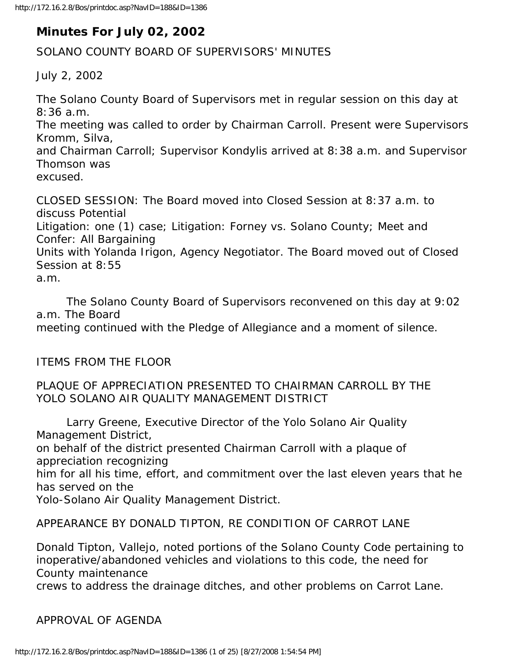# **Minutes For July 02, 2002**

### SOLANO COUNTY BOARD OF SUPERVISORS' MINUTES

July 2, 2002

The Solano County Board of Supervisors met in regular session on this day at 8:36 a.m. The meeting was called to order by Chairman Carroll. Present were Supervisors Kromm, Silva, and Chairman Carroll; Supervisor Kondylis arrived at 8:38 a.m. and Supervisor Thomson was excused. CLOSED SESSION: The Board moved into Closed Session at 8:37 a.m. to

discuss Potential Litigation: one (1) case; Litigation: Forney vs. Solano County; Meet and Confer: All Bargaining Units with Yolanda Irigon, Agency Negotiator. The Board moved out of Closed Session at 8:55 a.m.

 The Solano County Board of Supervisors reconvened on this day at 9:02 a.m. The Board meeting continued with the Pledge of Allegiance and a moment of silence.

ITEMS FROM THE FLOOR

#### PLAQUE OF APPRECIATION PRESENTED TO CHAIRMAN CARROLL BY THE YOLO SOLANO AIR QUALITY MANAGEMENT DISTRICT

 Larry Greene, Executive Director of the Yolo Solano Air Quality Management District, on behalf of the district presented Chairman Carroll with a plaque of appreciation recognizing

him for all his time, effort, and commitment over the last eleven years that he has served on the

Yolo-Solano Air Quality Management District.

#### APPEARANCE BY DONALD TIPTON, RE CONDITION OF CARROT LANE

Donald Tipton, Vallejo, noted portions of the Solano County Code pertaining to inoperative/abandoned vehicles and violations to this code, the need for County maintenance

crews to address the drainage ditches, and other problems on Carrot Lane.

APPROVAL OF AGENDA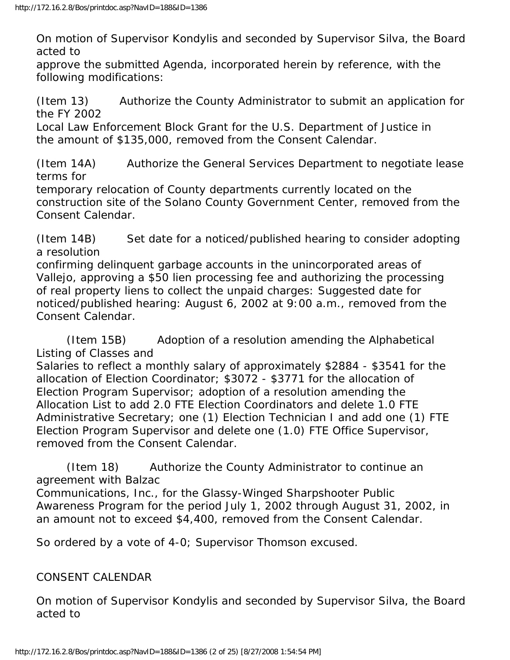On motion of Supervisor Kondylis and seconded by Supervisor Silva, the Board acted to

approve the submitted Agenda, incorporated herein by reference, with the following modifications:

(Item 13) Authorize the County Administrator to submit an application for the FY 2002

Local Law Enforcement Block Grant for the U.S. Department of Justice in the amount of \$135,000, removed from the Consent Calendar.

(Item 14A) Authorize the General Services Department to negotiate lease terms for

temporary relocation of County departments currently located on the construction site of the Solano County Government Center, removed from the Consent Calendar.

(Item 14B) Set date for a noticed/published hearing to consider adopting a resolution

confirming delinquent garbage accounts in the unincorporated areas of Vallejo, approving a \$50 lien processing fee and authorizing the processing of real property liens to collect the unpaid charges: Suggested date for noticed/published hearing: August 6, 2002 at 9:00 a.m., removed from the Consent Calendar.

 (Item 15B) Adoption of a resolution amending the Alphabetical Listing of Classes and

Salaries to reflect a monthly salary of approximately \$2884 - \$3541 for the allocation of Election Coordinator; \$3072 - \$3771 for the allocation of Election Program Supervisor; adoption of a resolution amending the Allocation List to add 2.0 FTE Election Coordinators and delete 1.0 FTE Administrative Secretary; one (1) Election Technician I and add one (1) FTE Election Program Supervisor and delete one (1.0) FTE Office Supervisor, removed from the Consent Calendar.

 (Item 18) Authorize the County Administrator to continue an agreement with Balzac Communications, Inc., for the Glassy-Winged Sharpshooter Public Awareness Program for the period July 1, 2002 through August 31, 2002, in an amount not to exceed \$4,400, removed from the Consent Calendar.

So ordered by a vote of 4-0; Supervisor Thomson excused.

## CONSENT CALENDAR

On motion of Supervisor Kondylis and seconded by Supervisor Silva, the Board acted to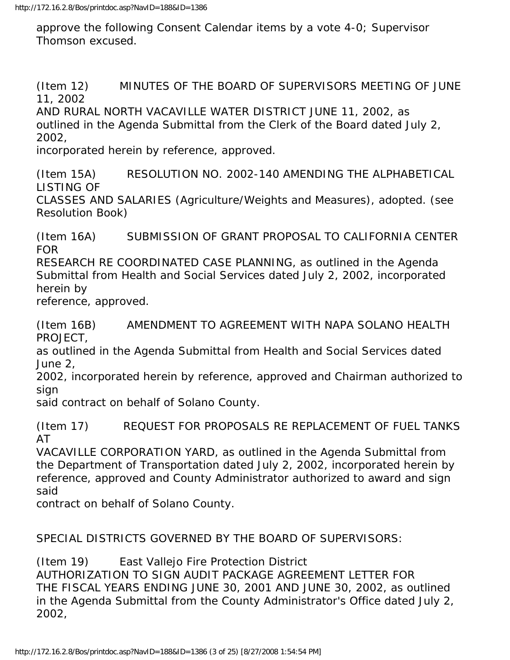approve the following Consent Calendar items by a vote 4-0; Supervisor Thomson excused.

(Item 12) MINUTES OF THE BOARD OF SUPERVISORS MEETING OF JUNE 11, 2002

AND RURAL NORTH VACAVILLE WATER DISTRICT JUNE 11, 2002, as outlined in the Agenda Submittal from the Clerk of the Board dated July 2, 2002,

incorporated herein by reference, approved.

(Item 15A) RESOLUTION NO. 2002-140 AMENDING THE ALPHABETICAL LISTING OF

CLASSES AND SALARIES (Agriculture/Weights and Measures), adopted. (see Resolution Book)

(Item 16A) SUBMISSION OF GRANT PROPOSAL TO CALIFORNIA CENTER FOR

RESEARCH RE COORDINATED CASE PLANNING, as outlined in the Agenda Submittal from Health and Social Services dated July 2, 2002, incorporated herein by

reference, approved.

(Item 16B) AMENDMENT TO AGREEMENT WITH NAPA SOLANO HEALTH PROJECT,

as outlined in the Agenda Submittal from Health and Social Services dated June 2,

2002, incorporated herein by reference, approved and Chairman authorized to sign

said contract on behalf of Solano County.

(Item 17) REQUEST FOR PROPOSALS RE REPLACEMENT OF FUEL TANKS AT

VACAVILLE CORPORATION YARD, as outlined in the Agenda Submittal from the Department of Transportation dated July 2, 2002, incorporated herein by reference, approved and County Administrator authorized to award and sign said

contract on behalf of Solano County.

SPECIAL DISTRICTS GOVERNED BY THE BOARD OF SUPERVISORS:

(Item 19) East Vallejo Fire Protection District

AUTHORIZATION TO SIGN AUDIT PACKAGE AGREEMENT LETTER FOR THE FISCAL YEARS ENDING JUNE 30, 2001 AND JUNE 30, 2002, as outlined in the Agenda Submittal from the County Administrator's Office dated July 2, 2002,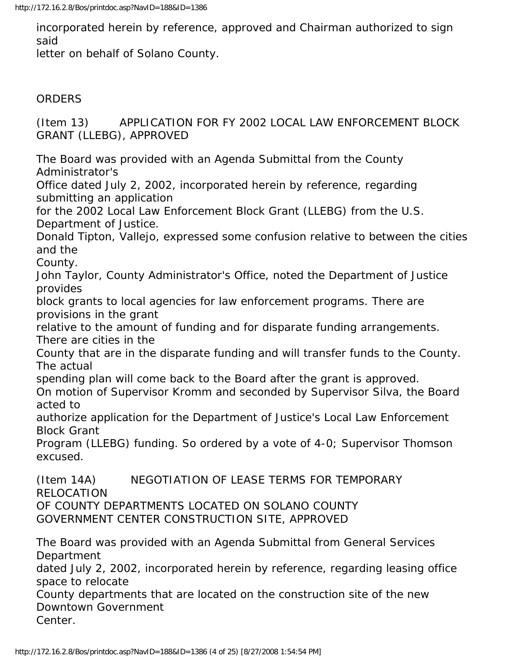incorporated herein by reference, approved and Chairman authorized to sign said

letter on behalf of Solano County.

# **ORDERS**

(Item 13) APPLICATION FOR FY 2002 LOCAL LAW ENFORCEMENT BLOCK GRANT (LLEBG), APPROVED

The Board was provided with an Agenda Submittal from the County Administrator's

Office dated July 2, 2002, incorporated herein by reference, regarding submitting an application

for the 2002 Local Law Enforcement Block Grant (LLEBG) from the U.S. Department of Justice.

Donald Tipton, Vallejo, expressed some confusion relative to between the cities and the

County.

John Taylor, County Administrator's Office, noted the Department of Justice provides

block grants to local agencies for law enforcement programs. There are provisions in the grant

relative to the amount of funding and for disparate funding arrangements. There are cities in the

County that are in the disparate funding and will transfer funds to the County. The actual

spending plan will come back to the Board after the grant is approved.

On motion of Supervisor Kromm and seconded by Supervisor Silva, the Board acted to

authorize application for the Department of Justice's Local Law Enforcement Block Grant

Program (LLEBG) funding. So ordered by a vote of 4-0; Supervisor Thomson excused.

(Item 14A) NEGOTIATION OF LEASE TERMS FOR TEMPORARY RELOCATION OF COUNTY DEPARTMENTS LOCATED ON SOLANO COUNTY GOVERNMENT CENTER CONSTRUCTION SITE, APPROVED

The Board was provided with an Agenda Submittal from General Services **Department** 

dated July 2, 2002, incorporated herein by reference, regarding leasing office space to relocate

County departments that are located on the construction site of the new Downtown Government

Center.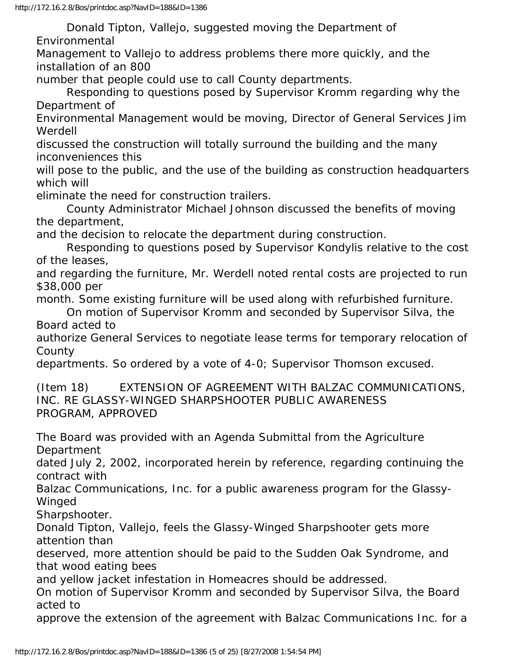Donald Tipton, Vallejo, suggested moving the Department of Environmental

Management to Vallejo to address problems there more quickly, and the installation of an 800

number that people could use to call County departments.

 Responding to questions posed by Supervisor Kromm regarding why the Department of

Environmental Management would be moving, Director of General Services Jim Werdell

discussed the construction will totally surround the building and the many inconveniences this

will pose to the public, and the use of the building as construction headquarters which will

eliminate the need for construction trailers.

 County Administrator Michael Johnson discussed the benefits of moving the department,

and the decision to relocate the department during construction.

 Responding to questions posed by Supervisor Kondylis relative to the cost of the leases,

and regarding the furniture, Mr. Werdell noted rental costs are projected to run \$38,000 per

month. Some existing furniture will be used along with refurbished furniture.

 On motion of Supervisor Kromm and seconded by Supervisor Silva, the Board acted to

authorize General Services to negotiate lease terms for temporary relocation of County

departments. So ordered by a vote of 4-0; Supervisor Thomson excused.

(Item 18) EXTENSION OF AGREEMENT WITH BALZAC COMMUNICATIONS, INC. RE GLASSY-WINGED SHARPSHOOTER PUBLIC AWARENESS PROGRAM, APPROVED

The Board was provided with an Agenda Submittal from the Agriculture Department

dated July 2, 2002, incorporated herein by reference, regarding continuing the contract with

Balzac Communications, Inc. for a public awareness program for the Glassy-Winged

Sharpshooter.

Donald Tipton, Vallejo, feels the Glassy-Winged Sharpshooter gets more attention than

deserved, more attention should be paid to the Sudden Oak Syndrome, and that wood eating bees

and yellow jacket infestation in Homeacres should be addressed.

On motion of Supervisor Kromm and seconded by Supervisor Silva, the Board acted to

approve the extension of the agreement with Balzac Communications Inc. for a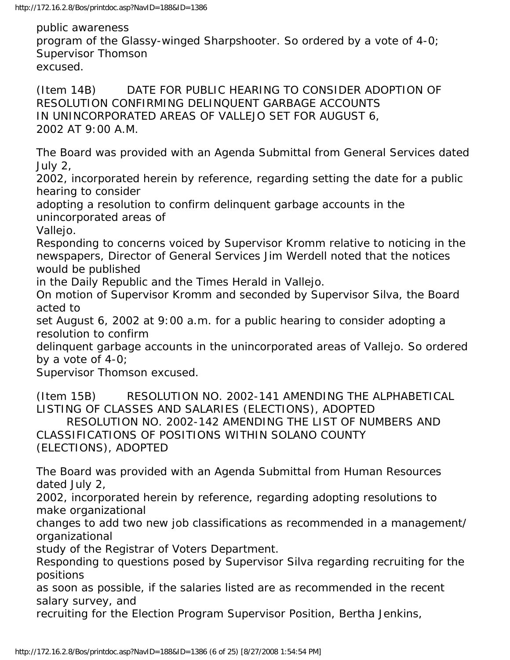public awareness program of the Glassy-winged Sharpshooter. So ordered by a vote of 4-0; Supervisor Thomson excused.

(Item 14B) DATE FOR PUBLIC HEARING TO CONSIDER ADOPTION OF RESOLUTION CONFIRMING DELINQUENT GARBAGE ACCOUNTS IN UNINCORPORATED AREAS OF VALLEJO SET FOR AUGUST 6, 2002 AT 9:00 A.M.

The Board was provided with an Agenda Submittal from General Services dated July 2,

2002, incorporated herein by reference, regarding setting the date for a public hearing to consider

adopting a resolution to confirm delinquent garbage accounts in the unincorporated areas of

Vallejo.

Responding to concerns voiced by Supervisor Kromm relative to noticing in the newspapers, Director of General Services Jim Werdell noted that the notices would be published

in the Daily Republic and the Times Herald in Vallejo.

On motion of Supervisor Kromm and seconded by Supervisor Silva, the Board acted to

set August 6, 2002 at 9:00 a.m. for a public hearing to consider adopting a resolution to confirm

delinquent garbage accounts in the unincorporated areas of Vallejo. So ordered by a vote of 4-0;

Supervisor Thomson excused.

(Item 15B) RESOLUTION NO. 2002-141 AMENDING THE ALPHABETICAL LISTING OF CLASSES AND SALARIES (ELECTIONS), ADOPTED RESOLUTION NO. 2002-142 AMENDING THE LIST OF NUMBERS AND CLASSIFICATIONS OF POSITIONS WITHIN SOLANO COUNTY

(ELECTIONS), ADOPTED

The Board was provided with an Agenda Submittal from Human Resources dated July 2,

2002, incorporated herein by reference, regarding adopting resolutions to make organizational

changes to add two new job classifications as recommended in a management/ organizational

study of the Registrar of Voters Department.

Responding to questions posed by Supervisor Silva regarding recruiting for the positions

as soon as possible, if the salaries listed are as recommended in the recent salary survey, and

recruiting for the Election Program Supervisor Position, Bertha Jenkins,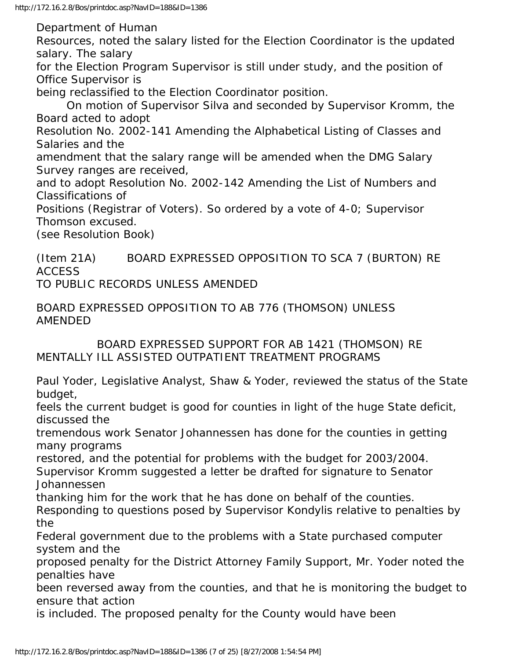Department of Human

Resources, noted the salary listed for the Election Coordinator is the updated salary. The salary

for the Election Program Supervisor is still under study, and the position of Office Supervisor is

being reclassified to the Election Coordinator position.

 On motion of Supervisor Silva and seconded by Supervisor Kromm, the Board acted to adopt

Resolution No. 2002-141 Amending the Alphabetical Listing of Classes and Salaries and the

amendment that the salary range will be amended when the DMG Salary Survey ranges are received,

and to adopt Resolution No. 2002-142 Amending the List of Numbers and Classifications of

Positions (Registrar of Voters). So ordered by a vote of 4-0; Supervisor Thomson excused.

(see Resolution Book)

(Item 21A) BOARD EXPRESSED OPPOSITION TO SCA 7 (BURTON) RE **ACCESS** 

TO PUBLIC RECORDS UNLESS AMENDED

BOARD EXPRESSED OPPOSITION TO AB 776 (THOMSON) UNLESS AMENDED

 BOARD EXPRESSED SUPPORT FOR AB 1421 (THOMSON) RE MENTALLY ILL ASSISTED OUTPATIENT TREATMENT PROGRAMS

Paul Yoder, Legislative Analyst, Shaw & Yoder, reviewed the status of the State budget,

feels the current budget is good for counties in light of the huge State deficit, discussed the

tremendous work Senator Johannessen has done for the counties in getting many programs

restored, and the potential for problems with the budget for 2003/2004. Supervisor Kromm suggested a letter be drafted for signature to Senator Johannessen

thanking him for the work that he has done on behalf of the counties.

Responding to questions posed by Supervisor Kondylis relative to penalties by the

Federal government due to the problems with a State purchased computer system and the

proposed penalty for the District Attorney Family Support, Mr. Yoder noted the penalties have

been reversed away from the counties, and that he is monitoring the budget to ensure that action

is included. The proposed penalty for the County would have been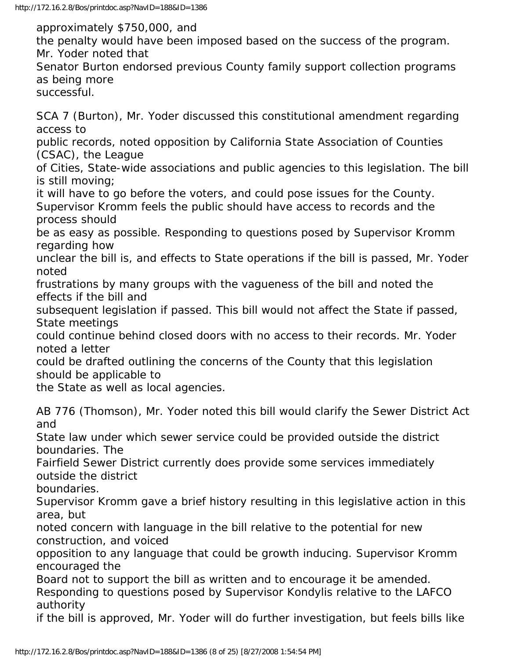approximately \$750,000, and the penalty would have been imposed based on the success of the program. Mr. Yoder noted that Senator Burton endorsed previous County family support collection programs as being more successful. SCA 7 (Burton), Mr. Yoder discussed this constitutional amendment regarding access to public records, noted opposition by California State Association of Counties (CSAC), the League of Cities, State-wide associations and public agencies to this legislation. The bill is still moving; it will have to go before the voters, and could pose issues for the County. Supervisor Kromm feels the public should have access to records and the process should be as easy as possible. Responding to questions posed by Supervisor Kromm regarding how unclear the bill is, and effects to State operations if the bill is passed, Mr. Yoder noted frustrations by many groups with the vagueness of the bill and noted the effects if the bill and subsequent legislation if passed. This bill would not affect the State if passed, State meetings could continue behind closed doors with no access to their records. Mr. Yoder noted a letter could be drafted outlining the concerns of the County that this legislation should be applicable to the State as well as local agencies. AB 776 (Thomson), Mr. Yoder noted this bill would clarify the Sewer District Act and State law under which sewer service could be provided outside the district boundaries. The Fairfield Sewer District currently does provide some services immediately outside the district

boundaries.

Supervisor Kromm gave a brief history resulting in this legislative action in this area, but

noted concern with language in the bill relative to the potential for new construction, and voiced

opposition to any language that could be growth inducing. Supervisor Kromm encouraged the

Board not to support the bill as written and to encourage it be amended. Responding to questions posed by Supervisor Kondylis relative to the LAFCO authority

if the bill is approved, Mr. Yoder will do further investigation, but feels bills like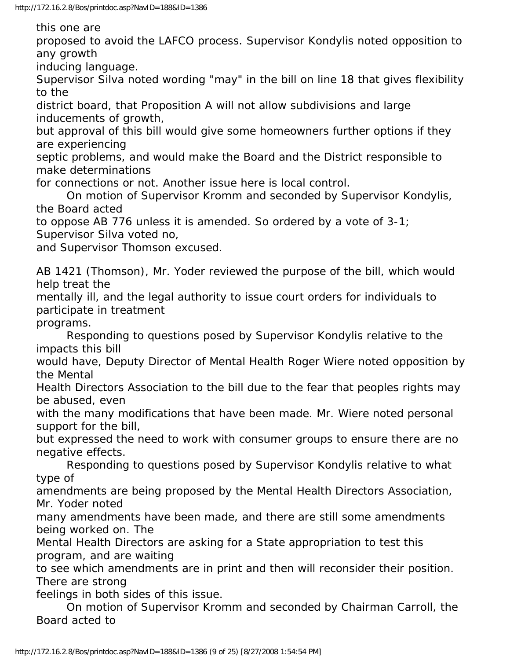this one are

proposed to avoid the LAFCO process. Supervisor Kondylis noted opposition to any growth

inducing language.

Supervisor Silva noted wording "may" in the bill on line 18 that gives flexibility to the

district board, that Proposition A will not allow subdivisions and large inducements of growth,

but approval of this bill would give some homeowners further options if they are experiencing

septic problems, and would make the Board and the District responsible to make determinations

for connections or not. Another issue here is local control.

 On motion of Supervisor Kromm and seconded by Supervisor Kondylis, the Board acted

to oppose AB 776 unless it is amended. So ordered by a vote of 3-1;

Supervisor Silva voted no,

and Supervisor Thomson excused.

AB 1421 (Thomson), Mr. Yoder reviewed the purpose of the bill, which would help treat the

mentally ill, and the legal authority to issue court orders for individuals to participate in treatment

programs.

 Responding to questions posed by Supervisor Kondylis relative to the impacts this bill

would have, Deputy Director of Mental Health Roger Wiere noted opposition by the Mental

Health Directors Association to the bill due to the fear that peoples rights may be abused, even

with the many modifications that have been made. Mr. Wiere noted personal support for the bill,

but expressed the need to work with consumer groups to ensure there are no negative effects.

 Responding to questions posed by Supervisor Kondylis relative to what type of

amendments are being proposed by the Mental Health Directors Association, Mr. Yoder noted

many amendments have been made, and there are still some amendments being worked on. The

Mental Health Directors are asking for a State appropriation to test this program, and are waiting

to see which amendments are in print and then will reconsider their position. There are strong

feelings in both sides of this issue.

 On motion of Supervisor Kromm and seconded by Chairman Carroll, the Board acted to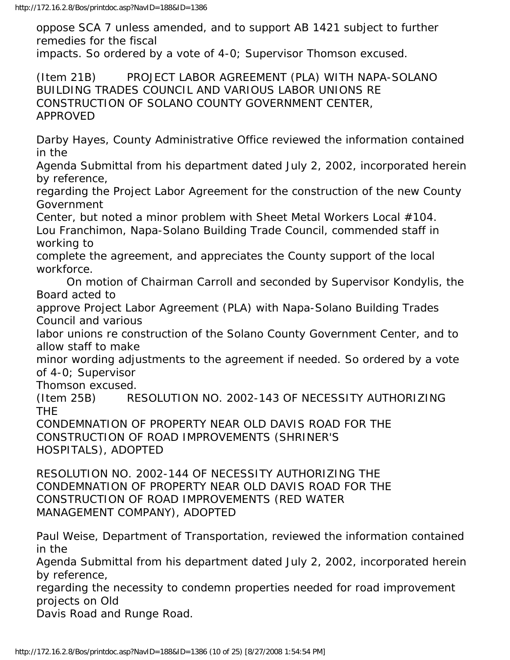oppose SCA 7 unless amended, and to support AB 1421 subject to further remedies for the fiscal impacts. So ordered by a vote of 4-0; Supervisor Thomson excused.

(Item 21B) PROJECT LABOR AGREEMENT (PLA) WITH NAPA-SOLANO BUILDING TRADES COUNCIL AND VARIOUS LABOR UNIONS RE CONSTRUCTION OF SOLANO COUNTY GOVERNMENT CENTER, APPROVED

Darby Hayes, County Administrative Office reviewed the information contained in the

Agenda Submittal from his department dated July 2, 2002, incorporated herein by reference,

regarding the Project Labor Agreement for the construction of the new County Government

Center, but noted a minor problem with Sheet Metal Workers Local #104. Lou Franchimon, Napa-Solano Building Trade Council, commended staff in working to

complete the agreement, and appreciates the County support of the local workforce.

 On motion of Chairman Carroll and seconded by Supervisor Kondylis, the Board acted to

approve Project Labor Agreement (PLA) with Napa-Solano Building Trades Council and various

labor unions re construction of the Solano County Government Center, and to allow staff to make

minor wording adjustments to the agreement if needed. So ordered by a vote of 4-0; Supervisor

Thomson excused.

(Item 25B) RESOLUTION NO. 2002-143 OF NECESSITY AUTHORIZING THE

CONDEMNATION OF PROPERTY NEAR OLD DAVIS ROAD FOR THE CONSTRUCTION OF ROAD IMPROVEMENTS (SHRINER'S HOSPITALS), ADOPTED

RESOLUTION NO. 2002-144 OF NECESSITY AUTHORIZING THE CONDEMNATION OF PROPERTY NEAR OLD DAVIS ROAD FOR THE CONSTRUCTION OF ROAD IMPROVEMENTS (RED WATER MANAGEMENT COMPANY), ADOPTED

Paul Weise, Department of Transportation, reviewed the information contained in the

Agenda Submittal from his department dated July 2, 2002, incorporated herein by reference,

regarding the necessity to condemn properties needed for road improvement projects on Old

Davis Road and Runge Road.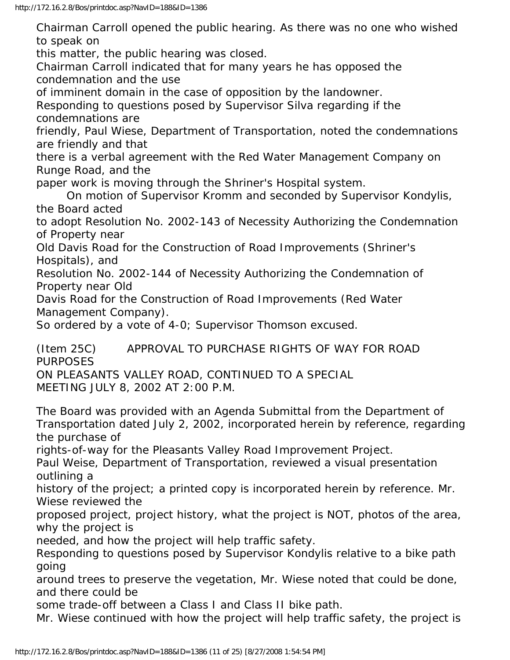Chairman Carroll opened the public hearing. As there was no one who wished to speak on

this matter, the public hearing was closed.

Chairman Carroll indicated that for many years he has opposed the condemnation and the use

of imminent domain in the case of opposition by the landowner.

Responding to questions posed by Supervisor Silva regarding if the condemnations are

friendly, Paul Wiese, Department of Transportation, noted the condemnations are friendly and that

there is a verbal agreement with the Red Water Management Company on Runge Road, and the

paper work is moving through the Shriner's Hospital system.

 On motion of Supervisor Kromm and seconded by Supervisor Kondylis, the Board acted

to adopt Resolution No. 2002-143 of Necessity Authorizing the Condemnation of Property near

Old Davis Road for the Construction of Road Improvements (Shriner's Hospitals), and

Resolution No. 2002-144 of Necessity Authorizing the Condemnation of Property near Old

Davis Road for the Construction of Road Improvements (Red Water Management Company).

So ordered by a vote of 4-0; Supervisor Thomson excused.

(Item 25C) APPROVAL TO PURCHASE RIGHTS OF WAY FOR ROAD PURPOSES ON PLEASANTS VALLEY ROAD, CONTINUED TO A SPECIAL MEETING JULY 8, 2002 AT 2:00 P.M.

The Board was provided with an Agenda Submittal from the Department of Transportation dated July 2, 2002, incorporated herein by reference, regarding the purchase of

rights-of-way for the Pleasants Valley Road Improvement Project.

Paul Weise, Department of Transportation, reviewed a visual presentation outlining a

history of the project; a printed copy is incorporated herein by reference. Mr. Wiese reviewed the

proposed project, project history, what the project is NOT, photos of the area, why the project is

needed, and how the project will help traffic safety.

Responding to questions posed by Supervisor Kondylis relative to a bike path going

around trees to preserve the vegetation, Mr. Wiese noted that could be done, and there could be

some trade-off between a Class I and Class II bike path.

Mr. Wiese continued with how the project will help traffic safety, the project is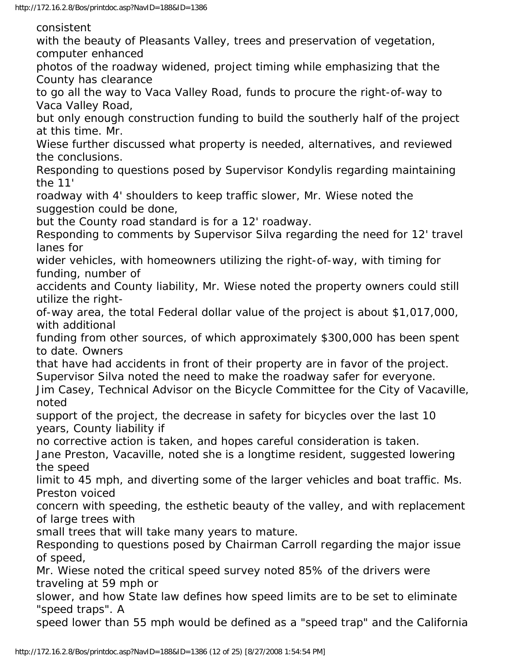consistent

with the beauty of Pleasants Valley, trees and preservation of vegetation, computer enhanced

photos of the roadway widened, project timing while emphasizing that the County has clearance

to go all the way to Vaca Valley Road, funds to procure the right-of-way to Vaca Valley Road,

but only enough construction funding to build the southerly half of the project at this time. Mr.

Wiese further discussed what property is needed, alternatives, and reviewed the conclusions.

Responding to questions posed by Supervisor Kondylis regarding maintaining the 11'

roadway with 4' shoulders to keep traffic slower, Mr. Wiese noted the suggestion could be done,

but the County road standard is for a 12' roadway.

Responding to comments by Supervisor Silva regarding the need for 12' travel lanes for

wider vehicles, with homeowners utilizing the right-of-way, with timing for funding, number of

accidents and County liability, Mr. Wiese noted the property owners could still utilize the right-

of-way area, the total Federal dollar value of the project is about \$1,017,000, with additional

funding from other sources, of which approximately \$300,000 has been spent to date. Owners

that have had accidents in front of their property are in favor of the project. Supervisor Silva noted the need to make the roadway safer for everyone.

Jim Casey, Technical Advisor on the Bicycle Committee for the City of Vacaville, noted

support of the project, the decrease in safety for bicycles over the last 10 years, County liability if

no corrective action is taken, and hopes careful consideration is taken.

Jane Preston, Vacaville, noted she is a longtime resident, suggested lowering the speed

limit to 45 mph, and diverting some of the larger vehicles and boat traffic. Ms. Preston voiced

concern with speeding, the esthetic beauty of the valley, and with replacement of large trees with

small trees that will take many years to mature.

Responding to questions posed by Chairman Carroll regarding the major issue of speed,

Mr. Wiese noted the critical speed survey noted 85% of the drivers were traveling at 59 mph or

slower, and how State law defines how speed limits are to be set to eliminate "speed traps". A

speed lower than 55 mph would be defined as a "speed trap" and the California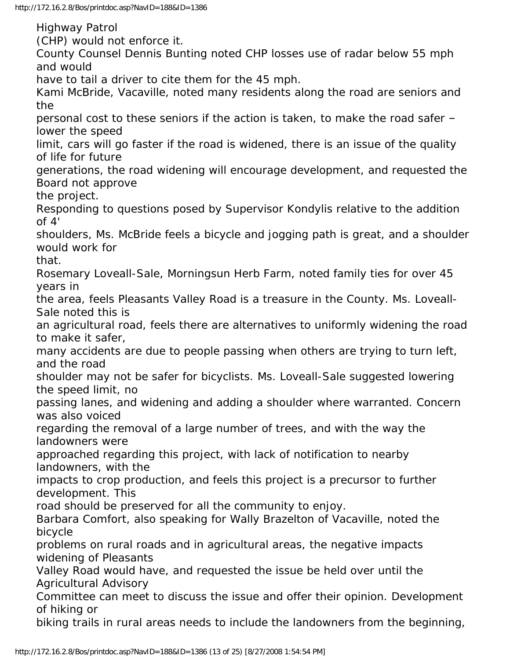http://172.16.2.8/Bos/printdoc.asp?NavID=188&ID=1386

Highway Patrol

(CHP) would not enforce it.

County Counsel Dennis Bunting noted CHP losses use of radar below 55 mph and would

have to tail a driver to cite them for the 45 mph.

Kami McBride, Vacaville, noted many residents along the road are seniors and the

personal cost to these seniors if the action is taken, to make the road safer – lower the speed

limit, cars will go faster if the road is widened, there is an issue of the quality of life for future

generations, the road widening will encourage development, and requested the Board not approve

the project.

Responding to questions posed by Supervisor Kondylis relative to the addition of  $4'$ 

shoulders, Ms. McBride feels a bicycle and jogging path is great, and a shoulder would work for

that.

Rosemary Loveall-Sale, Morningsun Herb Farm, noted family ties for over 45 years in

the area, feels Pleasants Valley Road is a treasure in the County. Ms. Loveall-Sale noted this is

an agricultural road, feels there are alternatives to uniformly widening the road to make it safer,

many accidents are due to people passing when others are trying to turn left, and the road

shoulder may not be safer for bicyclists. Ms. Loveall-Sale suggested lowering the speed limit, no

passing lanes, and widening and adding a shoulder where warranted. Concern was also voiced

regarding the removal of a large number of trees, and with the way the landowners were

approached regarding this project, with lack of notification to nearby landowners, with the

impacts to crop production, and feels this project is a precursor to further development. This

road should be preserved for all the community to enjoy.

Barbara Comfort, also speaking for Wally Brazelton of Vacaville, noted the bicycle

problems on rural roads and in agricultural areas, the negative impacts widening of Pleasants

Valley Road would have, and requested the issue be held over until the Agricultural Advisory

Committee can meet to discuss the issue and offer their opinion. Development of hiking or

biking trails in rural areas needs to include the landowners from the beginning,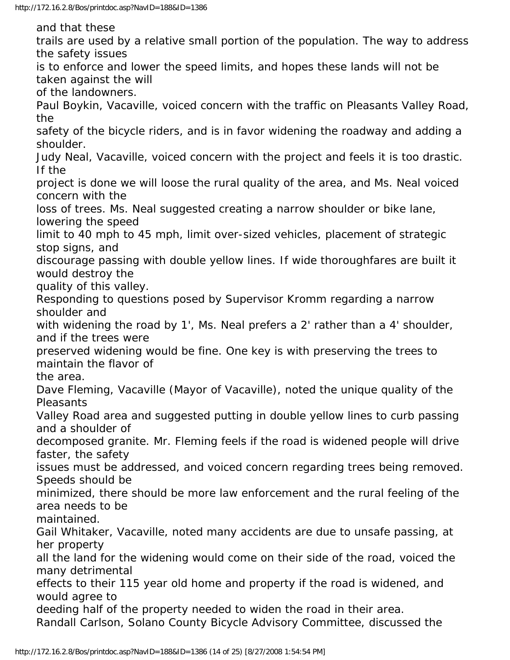and that these

trails are used by a relative small portion of the population. The way to address the safety issues

is to enforce and lower the speed limits, and hopes these lands will not be taken against the will

of the landowners.

Paul Boykin, Vacaville, voiced concern with the traffic on Pleasants Valley Road, the

safety of the bicycle riders, and is in favor widening the roadway and adding a shoulder.

Judy Neal, Vacaville, voiced concern with the project and feels it is too drastic. If the

project is done we will loose the rural quality of the area, and Ms. Neal voiced concern with the

loss of trees. Ms. Neal suggested creating a narrow shoulder or bike lane, lowering the speed

limit to 40 mph to 45 mph, limit over-sized vehicles, placement of strategic stop signs, and

discourage passing with double yellow lines. If wide thoroughfares are built it would destroy the

quality of this valley.

Responding to questions posed by Supervisor Kromm regarding a narrow shoulder and

with widening the road by 1', Ms. Neal prefers a 2' rather than a 4' shoulder, and if the trees were

preserved widening would be fine. One key is with preserving the trees to maintain the flavor of

the area.

Dave Fleming, Vacaville (Mayor of Vacaville), noted the unique quality of the **Pleasants** 

Valley Road area and suggested putting in double yellow lines to curb passing and a shoulder of

decomposed granite. Mr. Fleming feels if the road is widened people will drive faster, the safety

issues must be addressed, and voiced concern regarding trees being removed. Speeds should be

minimized, there should be more law enforcement and the rural feeling of the area needs to be

maintained.

Gail Whitaker, Vacaville, noted many accidents are due to unsafe passing, at her property

all the land for the widening would come on their side of the road, voiced the many detrimental

effects to their 115 year old home and property if the road is widened, and would agree to

deeding half of the property needed to widen the road in their area. Randall Carlson, Solano County Bicycle Advisory Committee, discussed the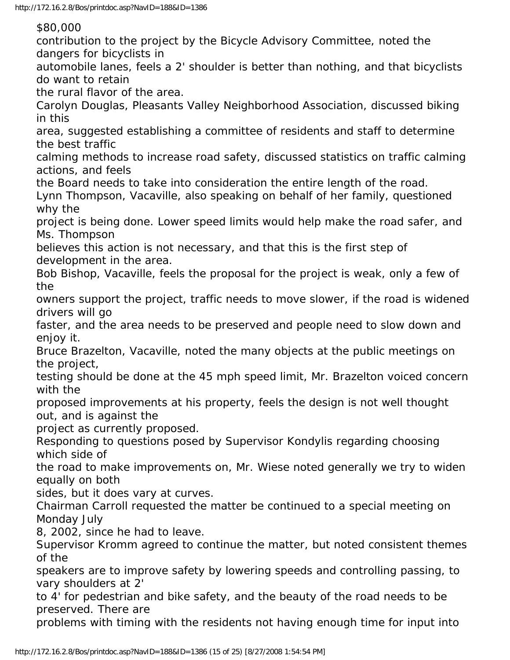\$80,000

contribution to the project by the Bicycle Advisory Committee, noted the dangers for bicyclists in

automobile lanes, feels a 2' shoulder is better than nothing, and that bicyclists do want to retain

the rural flavor of the area.

Carolyn Douglas, Pleasants Valley Neighborhood Association, discussed biking in this

area, suggested establishing a committee of residents and staff to determine the best traffic

calming methods to increase road safety, discussed statistics on traffic calming actions, and feels

the Board needs to take into consideration the entire length of the road.

Lynn Thompson, Vacaville, also speaking on behalf of her family, questioned why the

project is being done. Lower speed limits would help make the road safer, and Ms. Thompson

believes this action is not necessary, and that this is the first step of development in the area.

Bob Bishop, Vacaville, feels the proposal for the project is weak, only a few of the

owners support the project, traffic needs to move slower, if the road is widened drivers will go

faster, and the area needs to be preserved and people need to slow down and enjoy it.

Bruce Brazelton, Vacaville, noted the many objects at the public meetings on the project,

testing should be done at the 45 mph speed limit, Mr. Brazelton voiced concern with the

proposed improvements at his property, feels the design is not well thought out, and is against the

project as currently proposed.

Responding to questions posed by Supervisor Kondylis regarding choosing which side of

the road to make improvements on, Mr. Wiese noted generally we try to widen equally on both

sides, but it does vary at curves.

Chairman Carroll requested the matter be continued to a special meeting on Monday July

8, 2002, since he had to leave.

Supervisor Kromm agreed to continue the matter, but noted consistent themes of the

speakers are to improve safety by lowering speeds and controlling passing, to vary shoulders at 2'

to 4' for pedestrian and bike safety, and the beauty of the road needs to be preserved. There are

problems with timing with the residents not having enough time for input into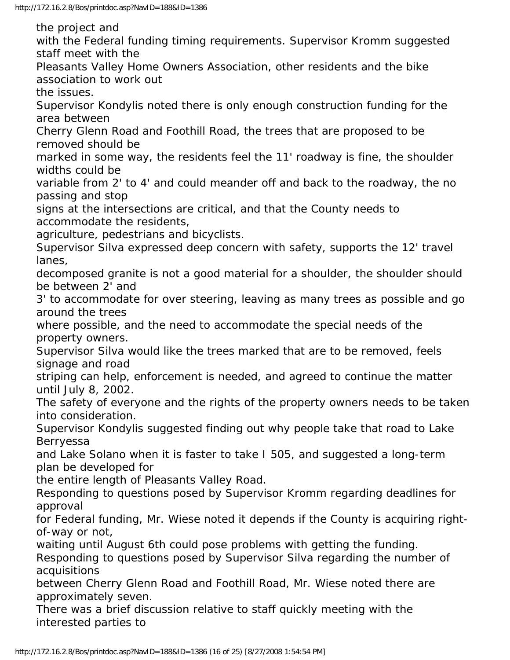the project and

with the Federal funding timing requirements. Supervisor Kromm suggested staff meet with the

Pleasants Valley Home Owners Association, other residents and the bike association to work out

the issues.

Supervisor Kondylis noted there is only enough construction funding for the area between

Cherry Glenn Road and Foothill Road, the trees that are proposed to be removed should be

marked in some way, the residents feel the 11' roadway is fine, the shoulder widths could be

variable from 2' to 4' and could meander off and back to the roadway, the no passing and stop

signs at the intersections are critical, and that the County needs to accommodate the residents,

agriculture, pedestrians and bicyclists.

Supervisor Silva expressed deep concern with safety, supports the 12' travel lanes,

decomposed granite is not a good material for a shoulder, the shoulder should be between 2' and

3' to accommodate for over steering, leaving as many trees as possible and go around the trees

where possible, and the need to accommodate the special needs of the property owners.

Supervisor Silva would like the trees marked that are to be removed, feels signage and road

striping can help, enforcement is needed, and agreed to continue the matter until July 8, 2002.

The safety of everyone and the rights of the property owners needs to be taken into consideration.

Supervisor Kondylis suggested finding out why people take that road to Lake Berryessa

and Lake Solano when it is faster to take I 505, and suggested a long-term plan be developed for

the entire length of Pleasants Valley Road.

Responding to questions posed by Supervisor Kromm regarding deadlines for approval

for Federal funding, Mr. Wiese noted it depends if the County is acquiring rightof-way or not,

waiting until August 6th could pose problems with getting the funding.

Responding to questions posed by Supervisor Silva regarding the number of acquisitions

between Cherry Glenn Road and Foothill Road, Mr. Wiese noted there are approximately seven.

There was a brief discussion relative to staff quickly meeting with the interested parties to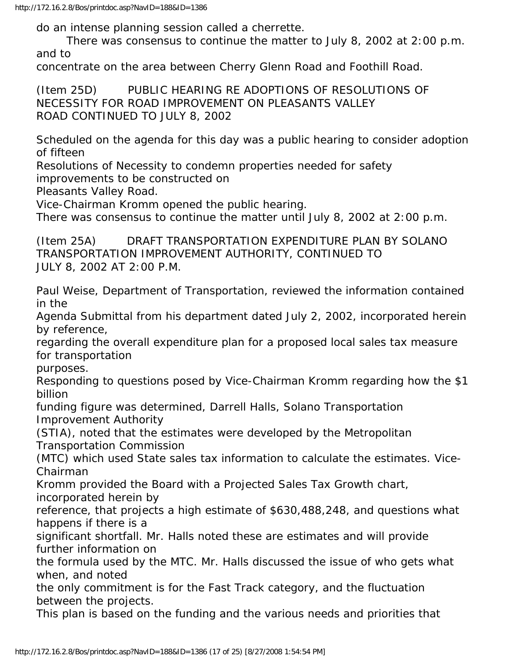do an intense planning session called a cherrette.

 There was consensus to continue the matter to July 8, 2002 at 2:00 p.m. and to

concentrate on the area between Cherry Glenn Road and Foothill Road.

(Item 25D) PUBLIC HEARING RE ADOPTIONS OF RESOLUTIONS OF NECESSITY FOR ROAD IMPROVEMENT ON PLEASANTS VALLEY ROAD CONTINUED TO JULY 8, 2002

Scheduled on the agenda for this day was a public hearing to consider adoption of fifteen

Resolutions of Necessity to condemn properties needed for safety

improvements to be constructed on

Pleasants Valley Road.

Vice-Chairman Kromm opened the public hearing.

There was consensus to continue the matter until July 8, 2002 at 2:00 p.m.

(Item 25A) DRAFT TRANSPORTATION EXPENDITURE PLAN BY SOLANO TRANSPORTATION IMPROVEMENT AUTHORITY, CONTINUED TO JULY 8, 2002 AT 2:00 P.M.

Paul Weise, Department of Transportation, reviewed the information contained in the

Agenda Submittal from his department dated July 2, 2002, incorporated herein by reference,

regarding the overall expenditure plan for a proposed local sales tax measure for transportation

purposes.

Responding to questions posed by Vice-Chairman Kromm regarding how the \$1 billion

funding figure was determined, Darrell Halls, Solano Transportation Improvement Authority

(STIA), noted that the estimates were developed by the Metropolitan Transportation Commission

(MTC) which used State sales tax information to calculate the estimates. Vice-Chairman

Kromm provided the Board with a Projected Sales Tax Growth chart, incorporated herein by

reference, that projects a high estimate of \$630,488,248, and questions what happens if there is a

significant shortfall. Mr. Halls noted these are estimates and will provide further information on

the formula used by the MTC. Mr. Halls discussed the issue of who gets what when, and noted

the only commitment is for the Fast Track category, and the fluctuation between the projects.

This plan is based on the funding and the various needs and priorities that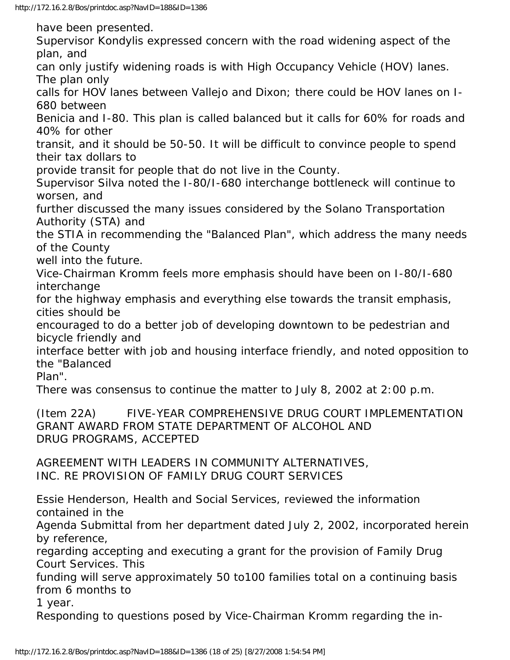have been presented. Supervisor Kondylis expressed concern with the road widening aspect of the plan, and can only justify widening roads is with High Occupancy Vehicle (HOV) lanes. The plan only calls for HOV lanes between Vallejo and Dixon; there could be HOV lanes on I-680 between Benicia and I-80. This plan is called balanced but it calls for 60% for roads and 40% for other transit, and it should be 50-50. It will be difficult to convince people to spend their tax dollars to provide transit for people that do not live in the County. Supervisor Silva noted the I-80/I-680 interchange bottleneck will continue to worsen, and further discussed the many issues considered by the Solano Transportation Authority (STA) and the STIA in recommending the "Balanced Plan", which address the many needs of the County well into the future. Vice-Chairman Kromm feels more emphasis should have been on I-80/I-680 interchange for the highway emphasis and everything else towards the transit emphasis, cities should be encouraged to do a better job of developing downtown to be pedestrian and bicycle friendly and interface better with job and housing interface friendly, and noted opposition to the "Balanced Plan". There was consensus to continue the matter to July 8, 2002 at 2:00 p.m. (Item 22A) FIVE-YEAR COMPREHENSIVE DRUG COURT IMPLEMENTATION GRANT AWARD FROM STATE DEPARTMENT OF ALCOHOL AND DRUG PROGRAMS, ACCEPTED AGREEMENT WITH LEADERS IN COMMUNITY ALTERNATIVES, INC. RE PROVISION OF FAMILY DRUG COURT SERVICES Essie Henderson, Health and Social Services, reviewed the information contained in the Agenda Submittal from her department dated July 2, 2002, incorporated herein by reference, regarding accepting and executing a grant for the provision of Family Drug Court Services. This funding will serve approximately 50 to100 families total on a continuing basis from 6 months to 1 year.

Responding to questions posed by Vice-Chairman Kromm regarding the in-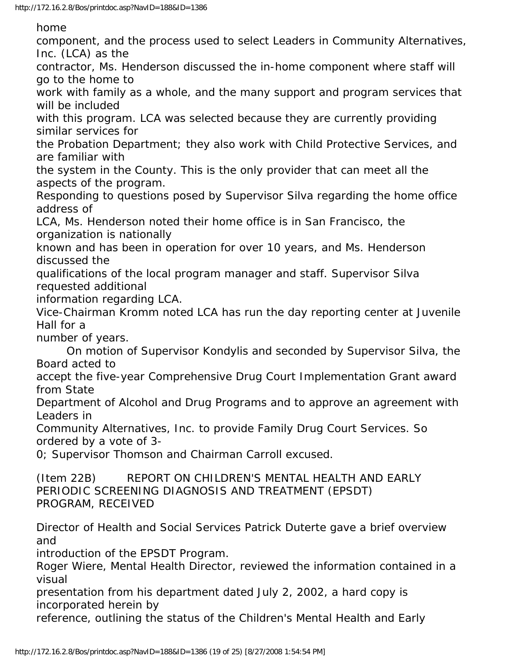home

component, and the process used to select Leaders in Community Alternatives, Inc. (LCA) as the

contractor, Ms. Henderson discussed the in-home component where staff will go to the home to

work with family as a whole, and the many support and program services that will be included

with this program. LCA was selected because they are currently providing similar services for

the Probation Department; they also work with Child Protective Services, and are familiar with

the system in the County. This is the only provider that can meet all the aspects of the program.

Responding to questions posed by Supervisor Silva regarding the home office address of

LCA, Ms. Henderson noted their home office is in San Francisco, the organization is nationally

known and has been in operation for over 10 years, and Ms. Henderson discussed the

qualifications of the local program manager and staff. Supervisor Silva requested additional

information regarding LCA.

Vice-Chairman Kromm noted LCA has run the day reporting center at Juvenile Hall for a

number of years.

 On motion of Supervisor Kondylis and seconded by Supervisor Silva, the Board acted to

accept the five-year Comprehensive Drug Court Implementation Grant award from State

Department of Alcohol and Drug Programs and to approve an agreement with Leaders in

Community Alternatives, Inc. to provide Family Drug Court Services. So ordered by a vote of 3-

0; Supervisor Thomson and Chairman Carroll excused.

(Item 22B) REPORT ON CHILDREN'S MENTAL HEALTH AND EARLY PERIODIC SCREENING DIAGNOSIS AND TREATMENT (EPSDT) PROGRAM, RECEIVED

Director of Health and Social Services Patrick Duterte gave a brief overview and

introduction of the EPSDT Program.

Roger Wiere, Mental Health Director, reviewed the information contained in a visual

presentation from his department dated July 2, 2002, a hard copy is incorporated herein by

reference, outlining the status of the Children's Mental Health and Early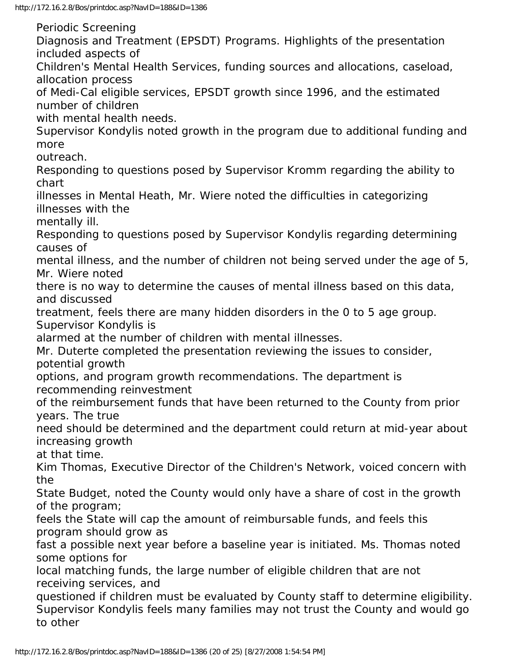Periodic Screening

Diagnosis and Treatment (EPSDT) Programs. Highlights of the presentation included aspects of

Children's Mental Health Services, funding sources and allocations, caseload, allocation process

of Medi-Cal eligible services, EPSDT growth since 1996, and the estimated number of children

with mental health needs.

Supervisor Kondylis noted growth in the program due to additional funding and more

outreach.

Responding to questions posed by Supervisor Kromm regarding the ability to chart

illnesses in Mental Heath, Mr. Wiere noted the difficulties in categorizing illnesses with the

mentally ill.

Responding to questions posed by Supervisor Kondylis regarding determining causes of

mental illness, and the number of children not being served under the age of 5, Mr. Wiere noted

there is no way to determine the causes of mental illness based on this data, and discussed

treatment, feels there are many hidden disorders in the 0 to 5 age group. Supervisor Kondylis is

alarmed at the number of children with mental illnesses.

Mr. Duterte completed the presentation reviewing the issues to consider, potential growth

options, and program growth recommendations. The department is recommending reinvestment

of the reimbursement funds that have been returned to the County from prior years. The true

need should be determined and the department could return at mid-year about increasing growth

at that time.

Kim Thomas, Executive Director of the Children's Network, voiced concern with the

State Budget, noted the County would only have a share of cost in the growth of the program;

feels the State will cap the amount of reimbursable funds, and feels this program should grow as

fast a possible next year before a baseline year is initiated. Ms. Thomas noted some options for

local matching funds, the large number of eligible children that are not receiving services, and

questioned if children must be evaluated by County staff to determine eligibility. Supervisor Kondylis feels many families may not trust the County and would go to other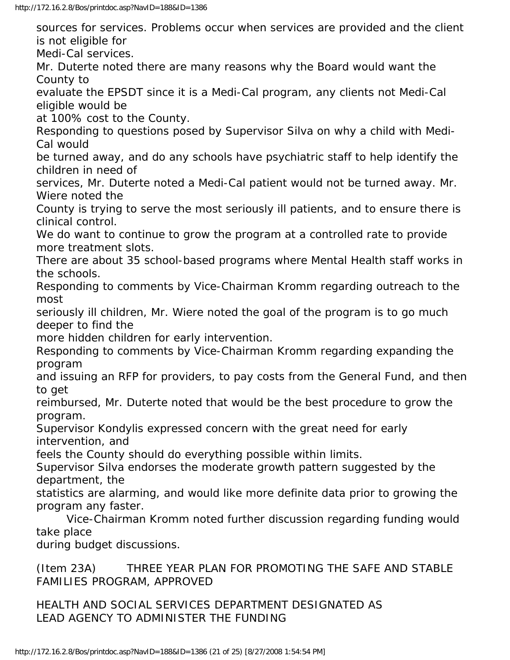sources for services. Problems occur when services are provided and the client is not eligible for

Medi-Cal services.

Mr. Duterte noted there are many reasons why the Board would want the County to

evaluate the EPSDT since it is a Medi-Cal program, any clients not Medi-Cal eligible would be

at 100% cost to the County.

Responding to questions posed by Supervisor Silva on why a child with Medi-Cal would

be turned away, and do any schools have psychiatric staff to help identify the children in need of

services, Mr. Duterte noted a Medi-Cal patient would not be turned away. Mr. Wiere noted the

County is trying to serve the most seriously ill patients, and to ensure there is clinical control.

We do want to continue to grow the program at a controlled rate to provide more treatment slots.

There are about 35 school-based programs where Mental Health staff works in the schools.

Responding to comments by Vice-Chairman Kromm regarding outreach to the most

seriously ill children, Mr. Wiere noted the goal of the program is to go much deeper to find the

more hidden children for early intervention.

Responding to comments by Vice-Chairman Kromm regarding expanding the program

and issuing an RFP for providers, to pay costs from the General Fund, and then to get

reimbursed, Mr. Duterte noted that would be the best procedure to grow the program.

Supervisor Kondylis expressed concern with the great need for early intervention, and

feels the County should do everything possible within limits.

Supervisor Silva endorses the moderate growth pattern suggested by the department, the

statistics are alarming, and would like more definite data prior to growing the program any faster.

 Vice-Chairman Kromm noted further discussion regarding funding would take place

during budget discussions.

(Item 23A) THREE YEAR PLAN FOR PROMOTING THE SAFE AND STABLE FAMILIES PROGRAM, APPROVED

HEALTH AND SOCIAL SERVICES DEPARTMENT DESIGNATED AS LEAD AGENCY TO ADMINISTER THE FUNDING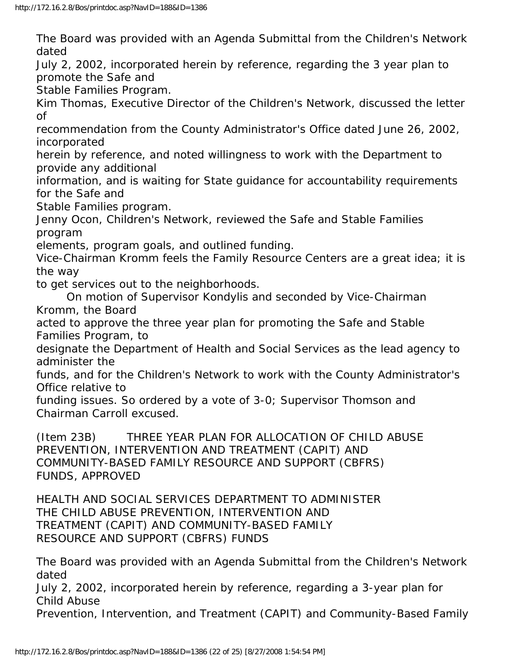The Board was provided with an Agenda Submittal from the Children's Network dated

July 2, 2002, incorporated herein by reference, regarding the 3 year plan to promote the Safe and

Stable Families Program.

Kim Thomas, Executive Director of the Children's Network, discussed the letter of

recommendation from the County Administrator's Office dated June 26, 2002, incorporated

herein by reference, and noted willingness to work with the Department to provide any additional

information, and is waiting for State guidance for accountability requirements for the Safe and

Stable Families program.

Jenny Ocon, Children's Network, reviewed the Safe and Stable Families program

elements, program goals, and outlined funding.

Vice-Chairman Kromm feels the Family Resource Centers are a great idea; it is the way

to get services out to the neighborhoods.

 On motion of Supervisor Kondylis and seconded by Vice-Chairman Kromm, the Board

acted to approve the three year plan for promoting the Safe and Stable Families Program, to

designate the Department of Health and Social Services as the lead agency to administer the

funds, and for the Children's Network to work with the County Administrator's Office relative to

funding issues. So ordered by a vote of 3-0; Supervisor Thomson and Chairman Carroll excused.

(Item 23B) THREE YEAR PLAN FOR ALLOCATION OF CHILD ABUSE PREVENTION, INTERVENTION AND TREATMENT (CAPIT) AND COMMUNITY-BASED FAMILY RESOURCE AND SUPPORT (CBFRS) FUNDS, APPROVED

HEALTH AND SOCIAL SERVICES DEPARTMENT TO ADMINISTER THE CHILD ABUSE PREVENTION, INTERVENTION AND TREATMENT (CAPIT) AND COMMUNITY-BASED FAMILY RESOURCE AND SUPPORT (CBFRS) FUNDS

The Board was provided with an Agenda Submittal from the Children's Network dated

July 2, 2002, incorporated herein by reference, regarding a 3-year plan for Child Abuse

Prevention, Intervention, and Treatment (CAPIT) and Community-Based Family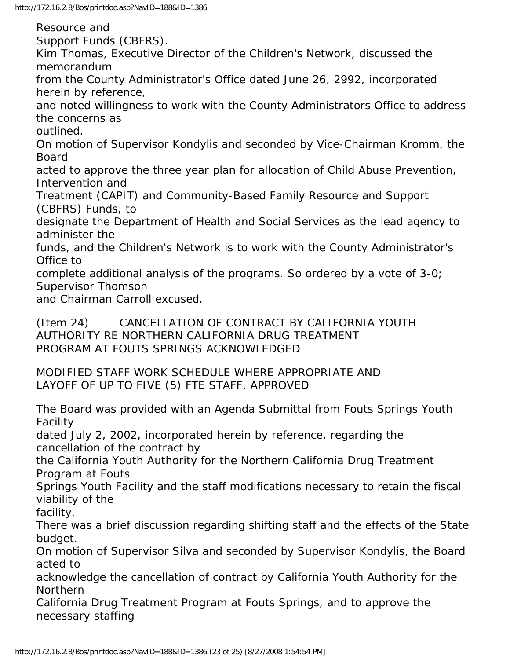http://172.16.2.8/Bos/printdoc.asp?NavID=188&ID=1386

Resource and

Support Funds (CBFRS).

Kim Thomas, Executive Director of the Children's Network, discussed the memorandum

from the County Administrator's Office dated June 26, 2992, incorporated herein by reference,

and noted willingness to work with the County Administrators Office to address the concerns as

outlined.

On motion of Supervisor Kondylis and seconded by Vice-Chairman Kromm, the Board

acted to approve the three year plan for allocation of Child Abuse Prevention, Intervention and

Treatment (CAPIT) and Community-Based Family Resource and Support (CBFRS) Funds, to

designate the Department of Health and Social Services as the lead agency to administer the

funds, and the Children's Network is to work with the County Administrator's Office to

complete additional analysis of the programs. So ordered by a vote of 3-0; Supervisor Thomson

and Chairman Carroll excused.

(Item 24) CANCELLATION OF CONTRACT BY CALIFORNIA YOUTH AUTHORITY RE NORTHERN CALIFORNIA DRUG TREATMENT PROGRAM AT FOUTS SPRINGS ACKNOWLEDGED

MODIFIED STAFF WORK SCHEDULE WHERE APPROPRIATE AND LAYOFF OF UP TO FIVE (5) FTE STAFF, APPROVED

The Board was provided with an Agenda Submittal from Fouts Springs Youth Facility

dated July 2, 2002, incorporated herein by reference, regarding the cancellation of the contract by

the California Youth Authority for the Northern California Drug Treatment Program at Fouts

Springs Youth Facility and the staff modifications necessary to retain the fiscal viability of the

facility.

There was a brief discussion regarding shifting staff and the effects of the State budget.

On motion of Supervisor Silva and seconded by Supervisor Kondylis, the Board acted to

acknowledge the cancellation of contract by California Youth Authority for the Northern

California Drug Treatment Program at Fouts Springs, and to approve the necessary staffing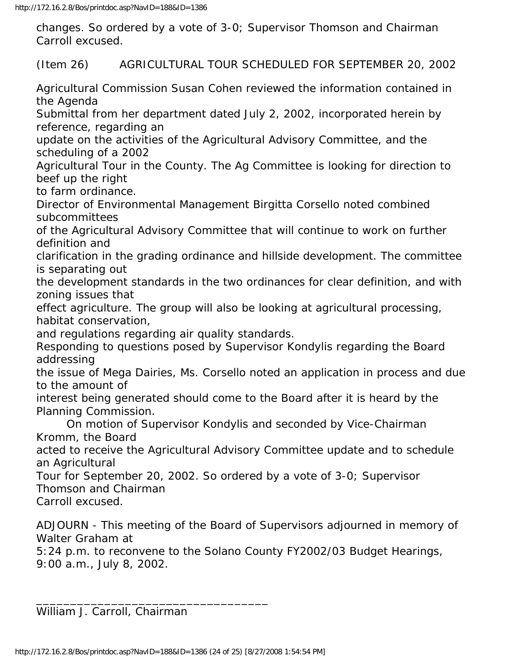changes. So ordered by a vote of 3-0; Supervisor Thomson and Chairman Carroll excused.

(Item 26) AGRICULTURAL TOUR SCHEDULED FOR SEPTEMBER 20, 2002

Agricultural Commission Susan Cohen reviewed the information contained in the Agenda

Submittal from her department dated July 2, 2002, incorporated herein by reference, regarding an

update on the activities of the Agricultural Advisory Committee, and the scheduling of a 2002

Agricultural Tour in the County. The Ag Committee is looking for direction to beef up the right

to farm ordinance.

Director of Environmental Management Birgitta Corsello noted combined subcommittees

of the Agricultural Advisory Committee that will continue to work on further definition and

clarification in the grading ordinance and hillside development. The committee is separating out

the development standards in the two ordinances for clear definition, and with zoning issues that

effect agriculture. The group will also be looking at agricultural processing, habitat conservation,

and regulations regarding air quality standards.

Responding to questions posed by Supervisor Kondylis regarding the Board addressing

the issue of Mega Dairies, Ms. Corsello noted an application in process and due to the amount of

interest being generated should come to the Board after it is heard by the Planning Commission.

 On motion of Supervisor Kondylis and seconded by Vice-Chairman Kromm, the Board

acted to receive the Agricultural Advisory Committee update and to schedule an Agricultural

Tour for September 20, 2002. So ordered by a vote of 3-0; Supervisor Thomson and Chairman

Carroll excused.

ADJOURN - This meeting of the Board of Supervisors adjourned in memory of Walter Graham at

5:24 p.m. to reconvene to the Solano County FY2002/03 Budget Hearings, 9:00 a.m., July 8, 2002.

William J. Carroll, Chairman

\_\_\_\_\_\_\_\_\_\_\_\_\_\_\_\_\_\_\_\_\_\_\_\_\_\_\_\_\_\_\_\_\_\_